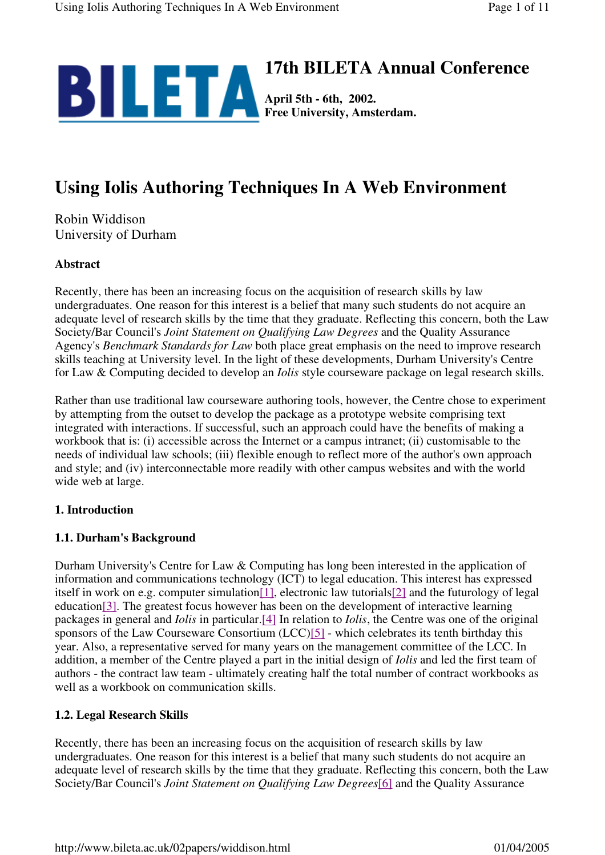

# **Using Iolis Authoring Techniques In A Web Environment**

Robin Widdison University of Durham

#### **Abstract**

Recently, there has been an increasing focus on the acquisition of research skills by law undergraduates. One reason for this interest is a belief that many such students do not acquire an adequate level of research skills by the time that they graduate. Reflecting this concern, both the Law Society/Bar Council's *Joint Statement on Qualifying Law Degrees* and the Quality Assurance Agency's *Benchmark Standards for Law* both place great emphasis on the need to improve research skills teaching at University level. In the light of these developments, Durham University's Centre for Law & Computing decided to develop an *Iolis* style courseware package on legal research skills.

Rather than use traditional law courseware authoring tools, however, the Centre chose to experiment by attempting from the outset to develop the package as a prototype website comprising text integrated with interactions. If successful, such an approach could have the benefits of making a workbook that is: (i) accessible across the Internet or a campus intranet; (ii) customisable to the needs of individual law schools; (iii) flexible enough to reflect more of the author's own approach and style; and (iv) interconnectable more readily with other campus websites and with the world wide web at large.

#### **1. Introduction**

#### **1.1. Durham's Background**

Durham University's Centre for Law & Computing has long been interested in the application of information and communications technology (ICT) to legal education. This interest has expressed itself in work on e.g. computer simulation $[1]$ , electronic law tutorials $[2]$  and the futurology of legal education[3]. The greatest focus however has been on the development of interactive learning packages in general and *Iolis* in particular.[4] In relation to *Iolis*, the Centre was one of the original sponsors of the Law Courseware Consortium (LCC)[5] - which celebrates its tenth birthday this year. Also, a representative served for many years on the management committee of the LCC. In addition, a member of the Centre played a part in the initial design of *Iolis* and led the first team of authors - the contract law team - ultimately creating half the total number of contract workbooks as well as a workbook on communication skills.

## **1.2. Legal Research Skills**

Recently, there has been an increasing focus on the acquisition of research skills by law undergraduates. One reason for this interest is a belief that many such students do not acquire an adequate level of research skills by the time that they graduate. Reflecting this concern, both the Law Society/Bar Council's *Joint Statement on Qualifying Law Degrees*[6] and the Quality Assurance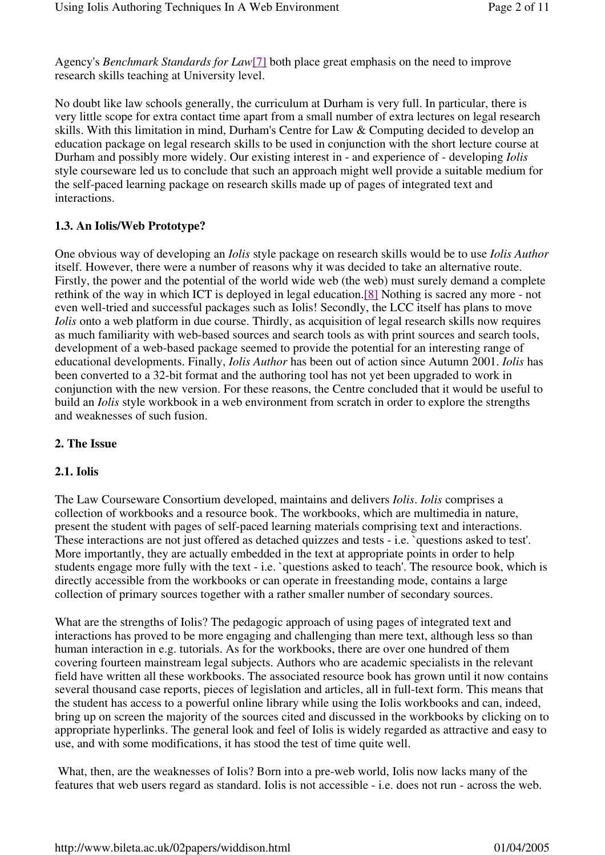Agency's *Benchmark Standards for Law*[7] both place great emphasis on the need to improve research skills teaching at University level.

No doubt like law schools generally, the curriculum at Durham is very full. In particular, there is very little scope for extra contact time apart from a small number of extra lectures on legal research skills. With this limitation in mind, Durham's Centre for Law & Computing decided to develop an education package on legal research skills to be used in conjunction with the short lecture course at Durham and possibly more widely. Our existing interest in - and experience of - developing *Iolis* style courseware led us to conclude that such an approach might well provide a suitable medium for the self-paced learning package on research skills made up of pages of integrated text and interactions.

### **1.3. An Iolis/Web Prototype?**

One obvious way of developing an *Iolis* style package on research skills would be to use *Iolis Author* itself. However, there were a number of reasons why it was decided to take an alternative route. Firstly, the power and the potential of the world wide web (the web) must surely demand a complete rethink of the way in which ICT is deployed in legal education.[8] Nothing is sacred any more - not even well-tried and successful packages such as Iolis! Secondly, the LCC itself has plans to move *Iolis* onto a web platform in due course. Thirdly, as acquisition of legal research skills now requires as much familiarity with web-based sources and search tools as with print sources and search tools, development of a web-based package seemed to provide the potential for an interesting range of educational developments. Finally, *Iolis Author* has been out of action since Autumn 2001. *Iolis* has been converted to a 32-bit format and the authoring tool has not yet been upgraded to work in conjunction with the new version. For these reasons, the Centre concluded that it would be useful to build an *Iolis* style workbook in a web environment from scratch in order to explore the strengths and weaknesses of such fusion.

#### **2. The Issue**

#### **2.1. Iolis**

The Law Courseware Consortium developed, maintains and delivers *Iolis*. *Iolis* comprises a collection of workbooks and a resource book. The workbooks, which are multimedia in nature, present the student with pages of self-paced learning materials comprising text and interactions. These interactions are not just offered as detached quizzes and tests - i.e. `questions asked to test'. More importantly, they are actually embedded in the text at appropriate points in order to help students engage more fully with the text - i.e. `questions asked to teach'. The resource book, which is directly accessible from the workbooks or can operate in freestanding mode, contains a large collection of primary sources together with a rather smaller number of secondary sources.

What are the strengths of Iolis? The pedagogic approach of using pages of integrated text and interactions has proved to be more engaging and challenging than mere text, although less so than human interaction in e.g. tutorials. As for the workbooks, there are over one hundred of them covering fourteen mainstream legal subjects. Authors who are academic specialists in the relevant field have written all these workbooks. The associated resource book has grown until it now contains several thousand case reports, pieces of legislation and articles, all in full-text form. This means that the student has access to a powerful online library while using the Iolis workbooks and can, indeed, bring up on screen the majority of the sources cited and discussed in the workbooks by clicking on to appropriate hyperlinks. The general look and feel of Iolis is widely regarded as attractive and easy to use, and with some modifications, it has stood the test of time quite well.

 What, then, are the weaknesses of Iolis? Born into a pre-web world, Iolis now lacks many of the features that web users regard as standard. Iolis is not accessible - i.e. does not run - across the web.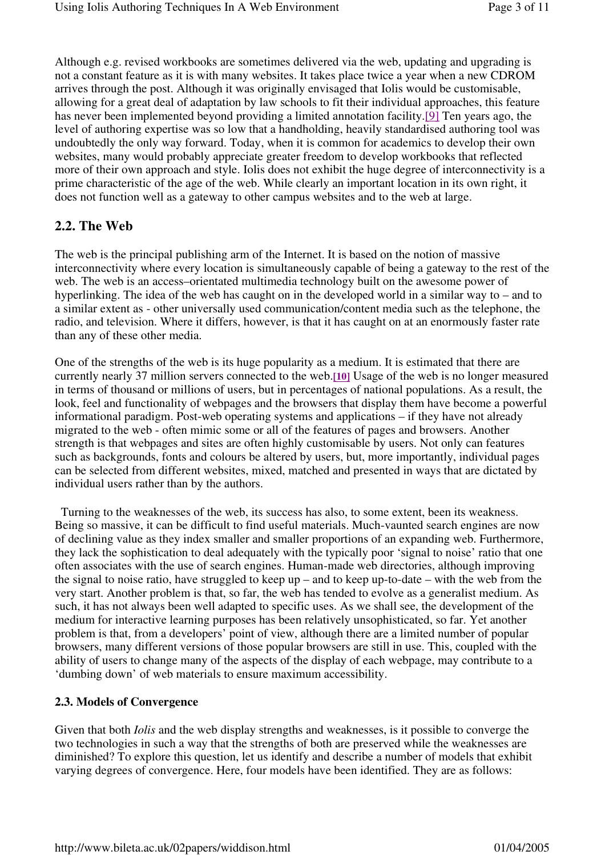Although e.g. revised workbooks are sometimes delivered via the web, updating and upgrading is not a constant feature as it is with many websites. It takes place twice a year when a new CDROM arrives through the post. Although it was originally envisaged that Iolis would be customisable, allowing for a great deal of adaptation by law schools to fit their individual approaches, this feature has never been implemented beyond providing a limited annotation facility.[9] Ten years ago, the level of authoring expertise was so low that a handholding, heavily standardised authoring tool was undoubtedly the only way forward. Today, when it is common for academics to develop their own websites, many would probably appreciate greater freedom to develop workbooks that reflected more of their own approach and style. Iolis does not exhibit the huge degree of interconnectivity is a prime characteristic of the age of the web. While clearly an important location in its own right, it does not function well as a gateway to other campus websites and to the web at large.

# **2.2. The Web**

The web is the principal publishing arm of the Internet. It is based on the notion of massive interconnectivity where every location is simultaneously capable of being a gateway to the rest of the web. The web is an access–orientated multimedia technology built on the awesome power of hyperlinking. The idea of the web has caught on in the developed world in a similar way to – and to a similar extent as - other universally used communication/content media such as the telephone, the radio, and television. Where it differs, however, is that it has caught on at an enormously faster rate than any of these other media.

One of the strengths of the web is its huge popularity as a medium. It is estimated that there are currently nearly 37 million servers connected to the web.**[10]** Usage of the web is no longer measured in terms of thousand or millions of users, but in percentages of national populations. As a result, the look, feel and functionality of webpages and the browsers that display them have become a powerful informational paradigm. Post-web operating systems and applications – if they have not already migrated to the web - often mimic some or all of the features of pages and browsers. Another strength is that webpages and sites are often highly customisable by users. Not only can features such as backgrounds, fonts and colours be altered by users, but, more importantly, individual pages can be selected from different websites, mixed, matched and presented in ways that are dictated by individual users rather than by the authors.

 Turning to the weaknesses of the web, its success has also, to some extent, been its weakness. Being so massive, it can be difficult to find useful materials. Much-vaunted search engines are now of declining value as they index smaller and smaller proportions of an expanding web. Furthermore, they lack the sophistication to deal adequately with the typically poor 'signal to noise' ratio that one often associates with the use of search engines. Human-made web directories, although improving the signal to noise ratio, have struggled to keep up – and to keep up-to-date – with the web from the very start. Another problem is that, so far, the web has tended to evolve as a generalist medium. As such, it has not always been well adapted to specific uses. As we shall see, the development of the medium for interactive learning purposes has been relatively unsophisticated, so far. Yet another problem is that, from a developers' point of view, although there are a limited number of popular browsers, many different versions of those popular browsers are still in use. This, coupled with the ability of users to change many of the aspects of the display of each webpage, may contribute to a 'dumbing down' of web materials to ensure maximum accessibility.

## **2.3. Models of Convergence**

Given that both *Iolis* and the web display strengths and weaknesses, is it possible to converge the two technologies in such a way that the strengths of both are preserved while the weaknesses are diminished? To explore this question, let us identify and describe a number of models that exhibit varying degrees of convergence. Here, four models have been identified. They are as follows: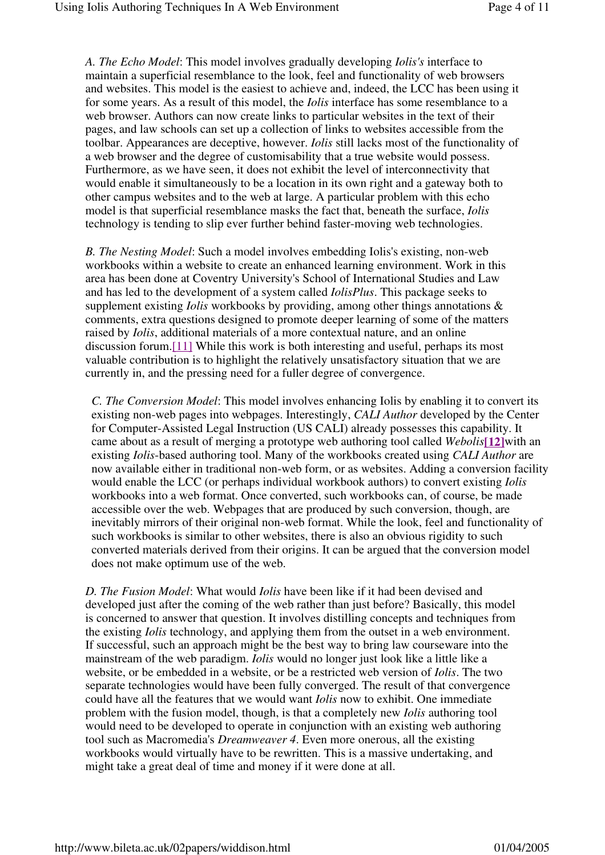*A. The Echo Model*: This model involves gradually developing *Iolis's* interface to maintain a superficial resemblance to the look, feel and functionality of web browsers and websites. This model is the easiest to achieve and, indeed, the LCC has been using it for some years. As a result of this model, the *Iolis* interface has some resemblance to a web browser. Authors can now create links to particular websites in the text of their pages, and law schools can set up a collection of links to websites accessible from the toolbar. Appearances are deceptive, however. *Iolis* still lacks most of the functionality of a web browser and the degree of customisability that a true website would possess. Furthermore, as we have seen, it does not exhibit the level of interconnectivity that would enable it simultaneously to be a location in its own right and a gateway both to other campus websites and to the web at large. A particular problem with this echo model is that superficial resemblance masks the fact that, beneath the surface, *Iolis* technology is tending to slip ever further behind faster-moving web technologies.

*B. The Nesting Model*: Such a model involves embedding Iolis's existing, non-web workbooks within a website to create an enhanced learning environment. Work in this area has been done at Coventry University's School of International Studies and Law and has led to the development of a system called *IolisPlus*. This package seeks to supplement existing *Iolis* workbooks by providing, among other things annotations & comments, extra questions designed to promote deeper learning of some of the matters raised by *Iolis*, additional materials of a more contextual nature, and an online discussion forum.[11] While this work is both interesting and useful, perhaps its most valuable contribution is to highlight the relatively unsatisfactory situation that we are currently in, and the pressing need for a fuller degree of convergence.

*C. The Conversion Model*: This model involves enhancing Iolis by enabling it to convert its existing non-web pages into webpages. Interestingly, *CALI Author* developed by the Center for Computer-Assisted Legal Instruction (US CALI) already possesses this capability. It came about as a result of merging a prototype web authoring tool called *Webolis***[12]**with an existing *Iolis*-based authoring tool. Many of the workbooks created using *CALI Author* are now available either in traditional non-web form, or as websites. Adding a conversion facility would enable the LCC (or perhaps individual workbook authors) to convert existing *Iolis* workbooks into a web format. Once converted, such workbooks can, of course, be made accessible over the web. Webpages that are produced by such conversion, though, are inevitably mirrors of their original non-web format. While the look, feel and functionality of such workbooks is similar to other websites, there is also an obvious rigidity to such converted materials derived from their origins. It can be argued that the conversion model does not make optimum use of the web.

*D. The Fusion Model*: What would *Iolis* have been like if it had been devised and developed just after the coming of the web rather than just before? Basically, this model is concerned to answer that question. It involves distilling concepts and techniques from the existing *Iolis* technology, and applying them from the outset in a web environment. If successful, such an approach might be the best way to bring law courseware into the mainstream of the web paradigm. *Iolis* would no longer just look like a little like a website, or be embedded in a website, or be a restricted web version of *Iolis*. The two separate technologies would have been fully converged. The result of that convergence could have all the features that we would want *Iolis* now to exhibit. One immediate problem with the fusion model, though, is that a completely new *Iolis* authoring tool would need to be developed to operate in conjunction with an existing web authoring tool such as Macromedia's *Dreamweaver 4*. Even more onerous, all the existing workbooks would virtually have to be rewritten. This is a massive undertaking, and might take a great deal of time and money if it were done at all.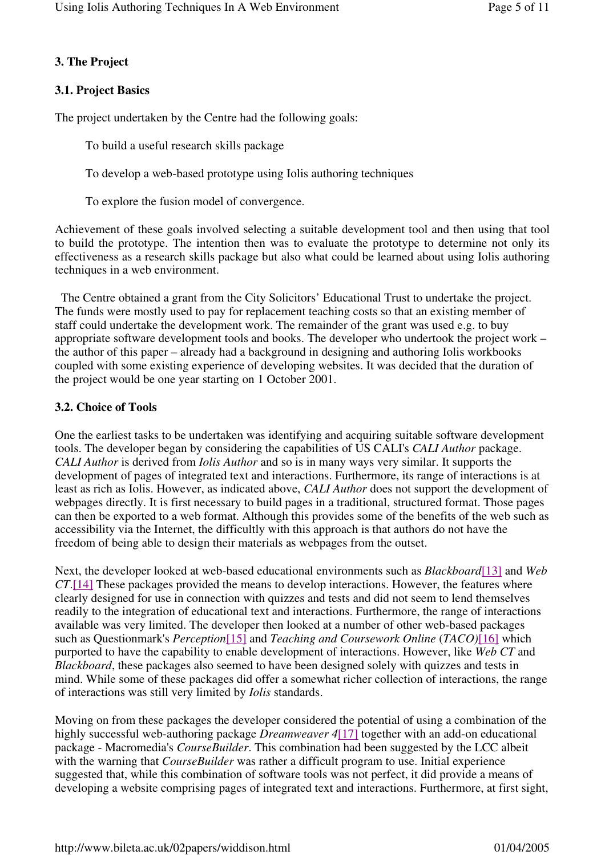## **3. The Project**

### **3.1. Project Basics**

The project undertaken by the Centre had the following goals:

To build a useful research skills package

To develop a web-based prototype using Iolis authoring techniques

To explore the fusion model of convergence.

Achievement of these goals involved selecting a suitable development tool and then using that tool to build the prototype. The intention then was to evaluate the prototype to determine not only its effectiveness as a research skills package but also what could be learned about using Iolis authoring techniques in a web environment.

 The Centre obtained a grant from the City Solicitors' Educational Trust to undertake the project. The funds were mostly used to pay for replacement teaching costs so that an existing member of staff could undertake the development work. The remainder of the grant was used e.g. to buy appropriate software development tools and books. The developer who undertook the project work – the author of this paper – already had a background in designing and authoring Iolis workbooks coupled with some existing experience of developing websites. It was decided that the duration of the project would be one year starting on 1 October 2001.

#### **3.2. Choice of Tools**

One the earliest tasks to be undertaken was identifying and acquiring suitable software development tools. The developer began by considering the capabilities of US CALI's *CALI Author* package. *CALI Author* is derived from *Iolis Author* and so is in many ways very similar. It supports the development of pages of integrated text and interactions. Furthermore, its range of interactions is at least as rich as Iolis. However, as indicated above, *CALI Author* does not support the development of webpages directly. It is first necessary to build pages in a traditional, structured format. Those pages can then be exported to a web format. Although this provides some of the benefits of the web such as accessibility via the Internet, the difficultly with this approach is that authors do not have the freedom of being able to design their materials as webpages from the outset.

Next, the developer looked at web-based educational environments such as *Blackboard*[13] and *Web CT*.[14] These packages provided the means to develop interactions. However, the features where clearly designed for use in connection with quizzes and tests and did not seem to lend themselves readily to the integration of educational text and interactions. Furthermore, the range of interactions available was very limited. The developer then looked at a number of other web-based packages such as Questionmark's *Perception*[15] and *Teaching and Coursework Online* (*TACO)*[16] which purported to have the capability to enable development of interactions. However, like *Web CT* and *Blackboard*, these packages also seemed to have been designed solely with quizzes and tests in mind. While some of these packages did offer a somewhat richer collection of interactions, the range of interactions was still very limited by *Iolis* standards.

Moving on from these packages the developer considered the potential of using a combination of the highly successful web-authoring package *Dreamweaver 4*[17] together with an add-on educational package - Macromedia's *CourseBuilder*. This combination had been suggested by the LCC albeit with the warning that *CourseBuilder* was rather a difficult program to use. Initial experience suggested that, while this combination of software tools was not perfect, it did provide a means of developing a website comprising pages of integrated text and interactions. Furthermore, at first sight,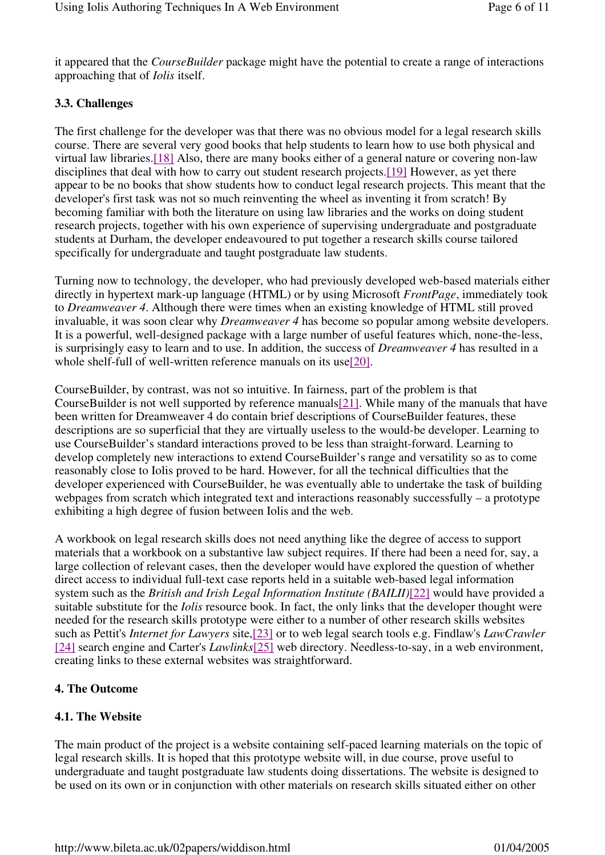it appeared that the *CourseBuilder* package might have the potential to create a range of interactions approaching that of *Iolis* itself.

# **3.3. Challenges**

The first challenge for the developer was that there was no obvious model for a legal research skills course. There are several very good books that help students to learn how to use both physical and virtual law libraries.[18] Also, there are many books either of a general nature or covering non-law disciplines that deal with how to carry out student research projects.[19] However, as yet there appear to be no books that show students how to conduct legal research projects. This meant that the developer's first task was not so much reinventing the wheel as inventing it from scratch! By becoming familiar with both the literature on using law libraries and the works on doing student research projects, together with his own experience of supervising undergraduate and postgraduate students at Durham, the developer endeavoured to put together a research skills course tailored specifically for undergraduate and taught postgraduate law students.

Turning now to technology, the developer, who had previously developed web-based materials either directly in hypertext mark-up language (HTML) or by using Microsoft *FrontPage*, immediately took to *Dreamweaver 4*. Although there were times when an existing knowledge of HTML still proved invaluable, it was soon clear why *Dreamweaver 4* has become so popular among website developers. It is a powerful, well-designed package with a large number of useful features which, none-the-less, is surprisingly easy to learn and to use. In addition, the success of *Dreamweaver 4* has resulted in a whole shelf-full of well-written reference manuals on its use[20].

CourseBuilder, by contrast, was not so intuitive. In fairness, part of the problem is that CourseBuilder is not well supported by reference manuals[21]. While many of the manuals that have been written for Dreamweaver 4 do contain brief descriptions of CourseBuilder features, these descriptions are so superficial that they are virtually useless to the would-be developer. Learning to use CourseBuilder's standard interactions proved to be less than straight-forward. Learning to develop completely new interactions to extend CourseBuilder's range and versatility so as to come reasonably close to Iolis proved to be hard. However, for all the technical difficulties that the developer experienced with CourseBuilder, he was eventually able to undertake the task of building webpages from scratch which integrated text and interactions reasonably successfully – a prototype exhibiting a high degree of fusion between Iolis and the web.

A workbook on legal research skills does not need anything like the degree of access to support materials that a workbook on a substantive law subject requires. If there had been a need for, say, a large collection of relevant cases, then the developer would have explored the question of whether direct access to individual full-text case reports held in a suitable web-based legal information system such as the *British and Irish Legal Information Institute (BAILII)*[22] would have provided a suitable substitute for the *Iolis* resource book. In fact, the only links that the developer thought were needed for the research skills prototype were either to a number of other research skills websites such as Pettit's *Internet for Lawyers* site,[23] or to web legal search tools e.g. Findlaw's *LawCrawler* [24] search engine and Carter's *Lawlinks*[25] web directory. Needless-to-say, in a web environment, creating links to these external websites was straightforward.

# **4. The Outcome**

# **4.1. The Website**

The main product of the project is a website containing self-paced learning materials on the topic of legal research skills. It is hoped that this prototype website will, in due course, prove useful to undergraduate and taught postgraduate law students doing dissertations. The website is designed to be used on its own or in conjunction with other materials on research skills situated either on other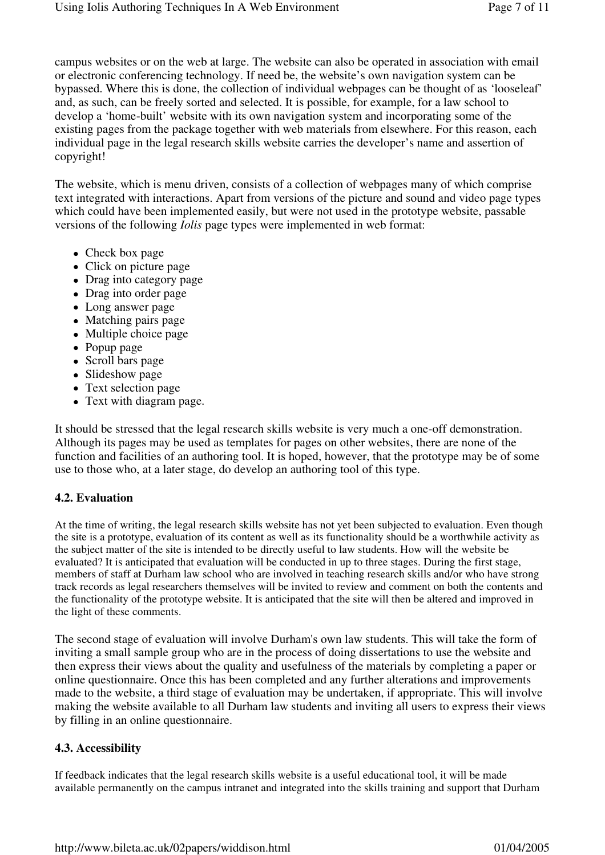campus websites or on the web at large. The website can also be operated in association with email or electronic conferencing technology. If need be, the website's own navigation system can be bypassed. Where this is done, the collection of individual webpages can be thought of as 'looseleaf' and, as such, can be freely sorted and selected. It is possible, for example, for a law school to develop a 'home-built' website with its own navigation system and incorporating some of the existing pages from the package together with web materials from elsewhere. For this reason, each individual page in the legal research skills website carries the developer's name and assertion of copyright!

The website, which is menu driven, consists of a collection of webpages many of which comprise text integrated with interactions. Apart from versions of the picture and sound and video page types which could have been implemented easily, but were not used in the prototype website, passable versions of the following *Iolis* page types were implemented in web format:

- Check box page
- Click on picture page
- Drag into category page
- Drag into order page
- Long answer page
- Matching pairs page
- Multiple choice page
- Popup page
- Scroll bars page
- Slideshow page
- Text selection page
- Text with diagram page.

It should be stressed that the legal research skills website is very much a one-off demonstration. Although its pages may be used as templates for pages on other websites, there are none of the function and facilities of an authoring tool. It is hoped, however, that the prototype may be of some use to those who, at a later stage, do develop an authoring tool of this type.

## **4.2. Evaluation**

At the time of writing, the legal research skills website has not yet been subjected to evaluation. Even though the site is a prototype, evaluation of its content as well as its functionality should be a worthwhile activity as the subject matter of the site is intended to be directly useful to law students. How will the website be evaluated? It is anticipated that evaluation will be conducted in up to three stages. During the first stage, members of staff at Durham law school who are involved in teaching research skills and/or who have strong track records as legal researchers themselves will be invited to review and comment on both the contents and the functionality of the prototype website. It is anticipated that the site will then be altered and improved in the light of these comments.

The second stage of evaluation will involve Durham's own law students. This will take the form of inviting a small sample group who are in the process of doing dissertations to use the website and then express their views about the quality and usefulness of the materials by completing a paper or online questionnaire. Once this has been completed and any further alterations and improvements made to the website, a third stage of evaluation may be undertaken, if appropriate. This will involve making the website available to all Durham law students and inviting all users to express their views by filling in an online questionnaire.

## **4.3. Accessibility**

If feedback indicates that the legal research skills website is a useful educational tool, it will be made available permanently on the campus intranet and integrated into the skills training and support that Durham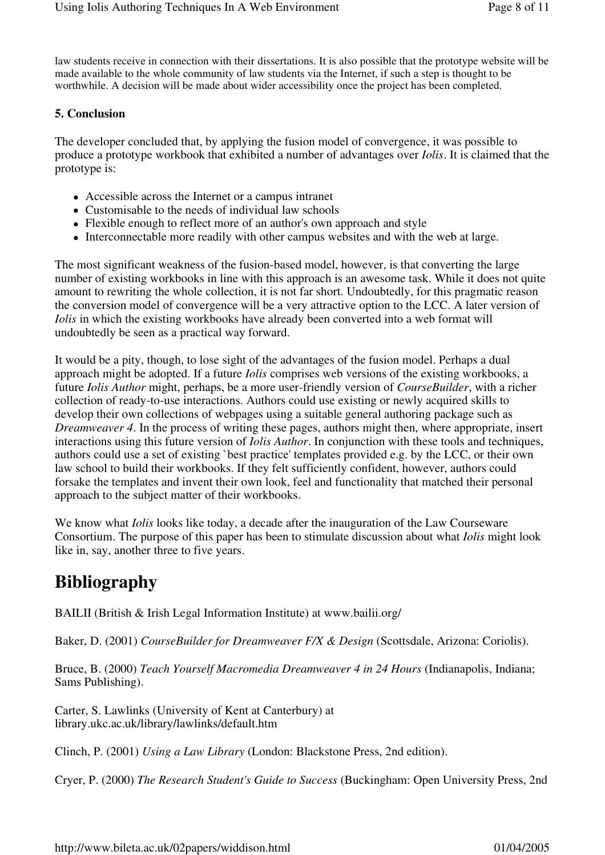law students receive in connection with their dissertations. It is also possible that the prototype website will be made available to the whole community of law students via the Internet, if such a step is thought to be worthwhile. A decision will be made about wider accessibility once the project has been completed.

### **5. Conclusion**

The developer concluded that, by applying the fusion model of convergence, it was possible to produce a prototype workbook that exhibited a number of advantages over *Iolis*. It is claimed that the prototype is:

- Accessible across the Internet or a campus intranet
- Customisable to the needs of individual law schools
- Flexible enough to reflect more of an author's own approach and style
- Interconnectable more readily with other campus websites and with the web at large.

The most significant weakness of the fusion-based model, however, is that converting the large number of existing workbooks in line with this approach is an awesome task. While it does not quite amount to rewriting the whole collection, it is not far short. Undoubtedly, for this pragmatic reason the conversion model of convergence will be a very attractive option to the LCC. A later version of *Iolis* in which the existing workbooks have already been converted into a web format will undoubtedly be seen as a practical way forward.

It would be a pity, though, to lose sight of the advantages of the fusion model. Perhaps a dual approach might be adopted. If a future *Iolis* comprises web versions of the existing workbooks, a future *Iolis Author* might, perhaps, be a more user-friendly version of *CourseBuilder*, with a richer collection of ready-to-use interactions. Authors could use existing or newly acquired skills to develop their own collections of webpages using a suitable general authoring package such as *Dreamweaver 4*. In the process of writing these pages, authors might then, where appropriate, insert interactions using this future version of *Iolis Author*. In conjunction with these tools and techniques, authors could use a set of existing `best practice' templates provided e.g. by the LCC, or their own law school to build their workbooks. If they felt sufficiently confident, however, authors could forsake the templates and invent their own look, feel and functionality that matched their personal approach to the subject matter of their workbooks.

We know what *Iolis* looks like today, a decade after the inauguration of the Law Courseware Consortium. The purpose of this paper has been to stimulate discussion about what *Iolis* might look like in, say, another three to five years.

# **Bibliography**

BAILII (British & Irish Legal Information Institute) at www.bailii.org/

Baker, D. (2001) *CourseBuilder for Dreamweaver F/X & Design* (Scottsdale, Arizona: Coriolis).

Bruce, B. (2000) *Teach Yourself Macromedia Dreamweaver 4 in 24 Hours* (Indianapolis, Indiana; Sams Publishing).

Carter, S. Lawlinks (University of Kent at Canterbury) at library.ukc.ac.uk/library/lawlinks/default.htm

Clinch, P. (2001) *Using a Law Library* (London: Blackstone Press, 2nd edition).

Cryer, P. (2000) *The Research Student's Guide to Success* (Buckingham: Open University Press, 2nd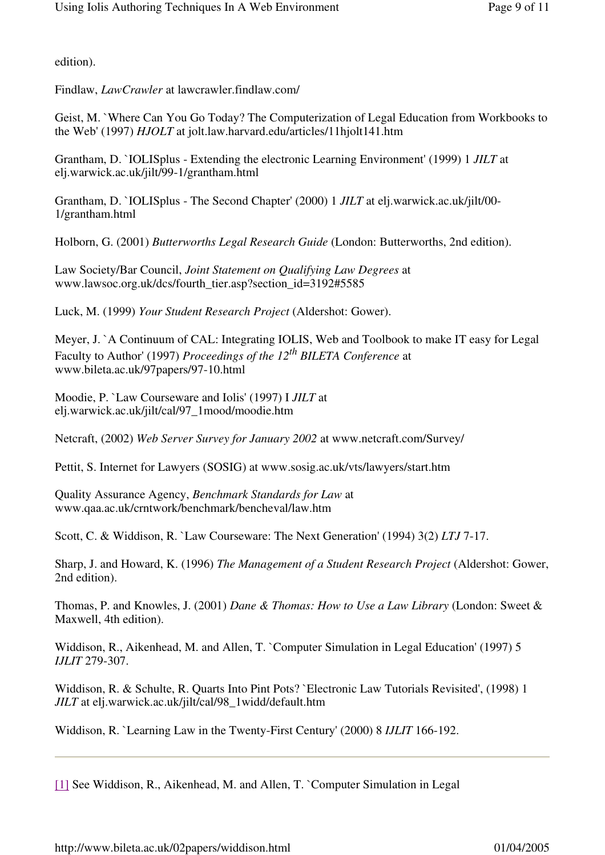edition).

Findlaw, *LawCrawler* at lawcrawler.findlaw.com/

Geist, M. `Where Can You Go Today? The Computerization of Legal Education from Workbooks to the Web' (1997) *HJOLT* at jolt.law.harvard.edu/articles/11hjolt141.htm

Grantham, D. `IOLISplus - Extending the electronic Learning Environment' (1999) 1 *JILT* at elj.warwick.ac.uk/jilt/99-1/grantham.html

Grantham, D. `IOLISplus - The Second Chapter' (2000) 1 *JILT* at elj.warwick.ac.uk/jilt/00- 1/grantham.html

Holborn, G. (2001) *Butterworths Legal Research Guide* (London: Butterworths, 2nd edition).

Law Society/Bar Council, *Joint Statement on Qualifying Law Degrees* at www.lawsoc.org.uk/dcs/fourth\_tier.asp?section\_id=3192#5585

Luck, M. (1999) *Your Student Research Project* (Aldershot: Gower).

Meyer, J. `A Continuum of CAL: Integrating IOLIS, Web and Toolbook to make IT easy for Legal Faculty to Author' (1997) *Proceedings of the 12th BILETA Conference* at www.bileta.ac.uk/97papers/97-10.html

Moodie, P. `Law Courseware and Iolis' (1997) I *JILT* at elj.warwick.ac.uk/jilt/cal/97\_1mood/moodie.htm

Netcraft, (2002) *Web Server Survey for January 2002* at www.netcraft.com/Survey/

Pettit, S. Internet for Lawyers (SOSIG) at www.sosig.ac.uk/vts/lawyers/start.htm

Quality Assurance Agency, *Benchmark Standards for Law* at www.qaa.ac.uk/crntwork/benchmark/bencheval/law.htm

Scott, C. & Widdison, R. `Law Courseware: The Next Generation' (1994) 3(2) *LTJ* 7-17.

Sharp, J. and Howard, K. (1996) *The Management of a Student Research Project* (Aldershot: Gower, 2nd edition).

Thomas, P. and Knowles, J. (2001) *Dane & Thomas: How to Use a Law Library* (London: Sweet & Maxwell, 4th edition).

Widdison, R., Aikenhead, M. and Allen, T. `Computer Simulation in Legal Education' (1997) 5 *IJLIT* 279-307.

Widdison, R. & Schulte, R. Quarts Into Pint Pots? `Electronic Law Tutorials Revisited', (1998) 1 *JILT* at elj.warwick.ac.uk/jilt/cal/98\_1widd/default.htm

Widdison, R. `Learning Law in the Twenty-First Century' (2000) 8 *IJLIT* 166-192.

[1] See Widdison, R., Aikenhead, M. and Allen, T. `Computer Simulation in Legal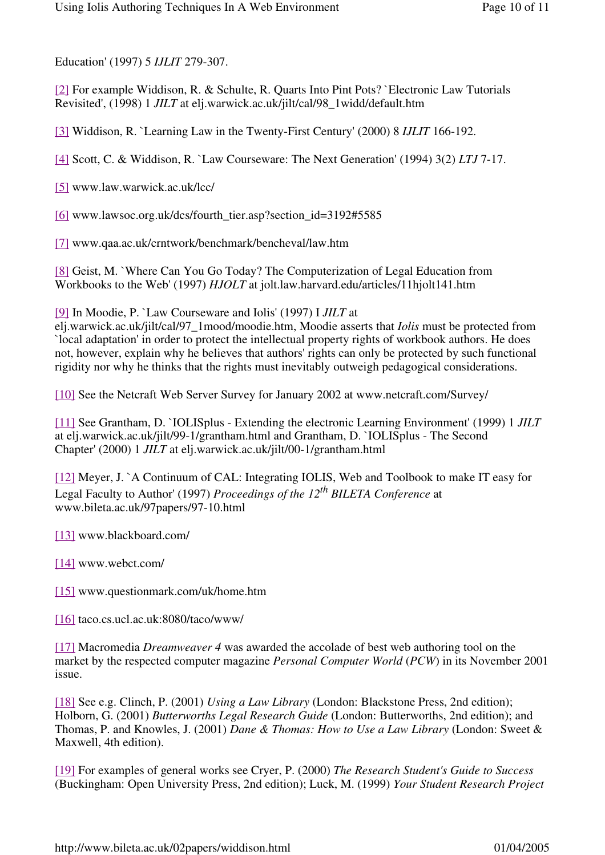Education' (1997) 5 *IJLIT* 279-307.

[2] For example Widdison, R. & Schulte, R. Quarts Into Pint Pots? `Electronic Law Tutorials Revisited', (1998) 1 *JILT* at elj.warwick.ac.uk/jilt/cal/98\_1widd/default.htm

[3] Widdison, R. `Learning Law in the Twenty-First Century' (2000) 8 *IJLIT* 166-192.

[4] Scott, C. & Widdison, R. `Law Courseware: The Next Generation' (1994) 3(2) *LTJ* 7-17.

[5] www.law.warwick.ac.uk/lcc/

[6] www.lawsoc.org.uk/dcs/fourth\_tier.asp?section\_id=3192#5585

[7] www.qaa.ac.uk/crntwork/benchmark/bencheval/law.htm

[8] Geist, M. `Where Can You Go Today? The Computerization of Legal Education from Workbooks to the Web' (1997) *HJOLT* at jolt.law.harvard.edu/articles/11hjolt141.htm

[9] In Moodie, P. `Law Courseware and Iolis' (1997) I *JILT* at

elj.warwick.ac.uk/jilt/cal/97\_1mood/moodie.htm, Moodie asserts that *Iolis* must be protected from `local adaptation' in order to protect the intellectual property rights of workbook authors. He does not, however, explain why he believes that authors' rights can only be protected by such functional rigidity nor why he thinks that the rights must inevitably outweigh pedagogical considerations.

[10] See the Netcraft Web Server Survey for January 2002 at www.netcraft.com/Survey/

[11] See Grantham, D. `IOLISplus - Extending the electronic Learning Environment' (1999) 1 *JILT* at elj.warwick.ac.uk/jilt/99-1/grantham.html and Grantham, D. `IOLISplus - The Second Chapter' (2000) 1 *JILT* at elj.warwick.ac.uk/jilt/00-1/grantham.html

[12] Meyer, J. `A Continuum of CAL: Integrating IOLIS, Web and Toolbook to make IT easy for Legal Faculty to Author' (1997) *Proceedings of the 12th BILETA Conference* at www.bileta.ac.uk/97papers/97-10.html

[13] www.blackboard.com/

[14] www.webct.com/

[15] www.questionmark.com/uk/home.htm

[16] taco.cs.ucl.ac.uk:8080/taco/www/

[17] Macromedia *Dreamweaver 4* was awarded the accolade of best web authoring tool on the market by the respected computer magazine *Personal Computer World* (*PCW*) in its November 2001 issue.

[18] See e.g. Clinch, P. (2001) *Using a Law Library* (London: Blackstone Press, 2nd edition); Holborn, G. (2001) *Butterworths Legal Research Guide* (London: Butterworths, 2nd edition); and Thomas, P. and Knowles, J. (2001) *Dane & Thomas: How to Use a Law Library* (London: Sweet & Maxwell, 4th edition).

[19] For examples of general works see Cryer, P. (2000) *The Research Student's Guide to Success* (Buckingham: Open University Press, 2nd edition); Luck, M. (1999) *Your Student Research Project*